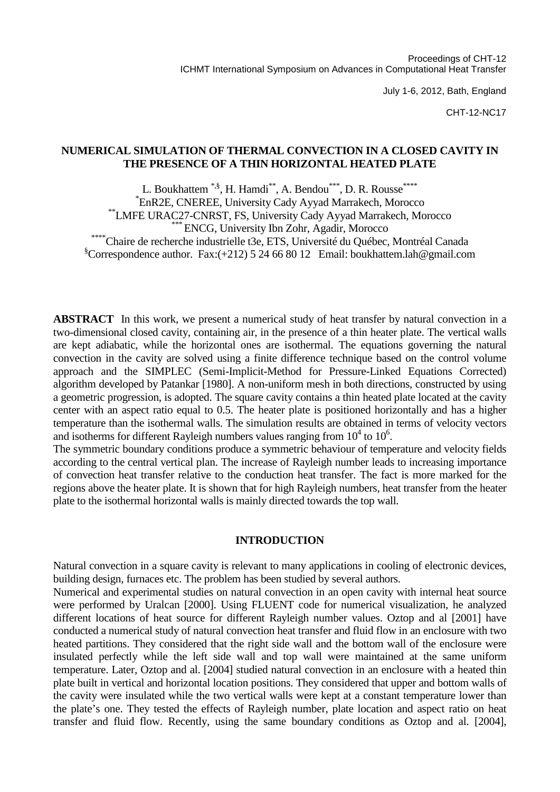July 1-6, 2012, Bath, England

CHT-12-NC17

## **NUMERICAL SIMULATION OF THERMAL CONVECTION IN A CLOSED CAVITY IN THE PRESENCE OF A THIN HORIZONTAL HEATED PLATE**

L. Boukhattem \*, \$\$, H. Hamdi\*\*, A. Bendou \*\*\*, D. R. Rousse \*\*\*\* EnR2E, CNEREE, University Cady Ayyad Marrakech, Morocco *\*\*LMFE URAC27-CNRST, FS, University Cady Ayyad Marrakech, Morocco*<br>*\*\*\*\* ENCG, University Ibn Zohr, Agadir, Morocco*<br>Chaire de recherche industrielle t3e, ETS, Université du Québec, Montréal Canada  $\degree$ Correspondence author. Fax:(+212) 5 24 66 80 12 Email: boukhattem.lah@gmail.com

**ABSTRACT** In this work, we present a numerical study of heat transfer by natural convection in a two-dimensional closed cavity, containing air, in the presence of a thin heater plate. The vertical walls are kept adiabatic, while the horizontal ones are isothermal. The equations governing the natural convection in the cavity are solved using a finite difference technique based on the control volume approach and the SIMPLEC (Semi-Implicit-Method for Pressure-Linked Equations Corrected) algorithm developed by Patankar [1980]. A non-uniform mesh in both directions, constructed by using a geometric progression, is adopted. The square cavity contains a thin heated plate located at the cavity center with an aspect ratio equal to 0.5. The heater plate is positioned horizontally and has a higher temperature than the isothermal walls. The simulation results are obtained in terms of velocity vectors and isotherms for different Rayleigh numbers values ranging from  $10^4$  to  $10^6$ .

The symmetric boundary conditions produce a symmetric behaviour of temperature and velocity fields according to the central vertical plan. The increase of Rayleigh number leads to increasing importance of convection heat transfer relative to the conduction heat transfer. The fact is more marked for the regions above the heater plate. It is shown that for high Rayleigh numbers, heat transfer from the heater plate to the isothermal horizontal walls is mainly directed towards the top wall.

### **INTRODUCTION**

Natural convection in a square cavity is relevant to many applications in cooling of electronic devices, building design, furnaces etc. The problem has been studied by several authors.

Numerical and experimental studies on natural convection in an open cavity with internal heat source were performed by Uralcan [2000]. Using FLUENT code for numerical visualization, he analyzed different locations of heat source for different Rayleigh number values. Oztop and al [2001] have conducted a numerical study of natural convection heat transfer and fluid flow in an enclosure with two heated partitions. They considered that the right side wall and the bottom wall of the enclosure were insulated perfectly while the left side wall and top wall were maintained at the same uniform temperature. Later, Oztop and al. [2004] studied natural convection in an enclosure with a heated thin plate built in vertical and horizontal location positions. They considered that upper and bottom walls of the cavity were insulated while the two vertical walls were kept at a constant temperature lower than the plate's one. They tested the effects of Rayleigh number, plate location and aspect ratio on heat transfer and fluid flow. Recently, using the same boundary conditions as Oztop and al. [2004],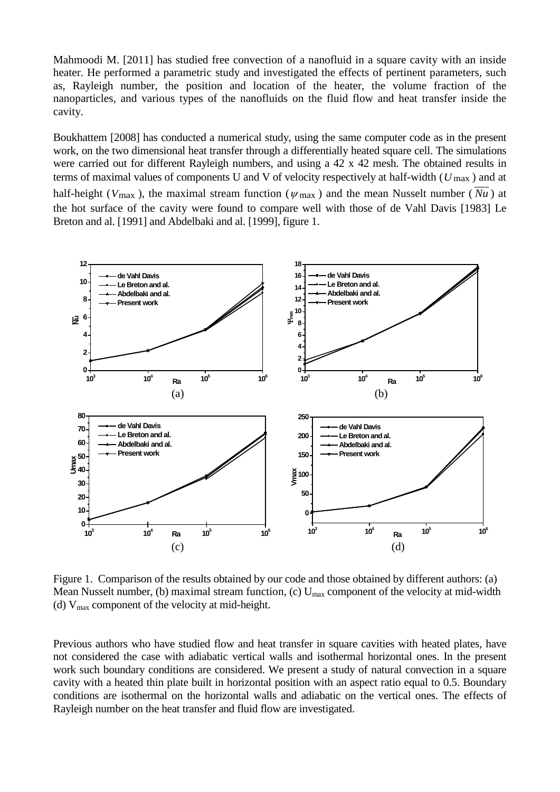Mahmoodi M. [2011] has studied free convection of a nanofluid in a square cavity with an inside heater. He performed a parametric study and investigated the effects of pertinent parameters, such as, Rayleigh number, the position and location of the heater, the volume fraction of the nanoparticles, and various types of the nanofluids on the fluid flow and heat transfer inside the cavity.

Boukhattem [2008] has conducted a numerical study, using the same computer code as in the present work, on the two dimensional heat transfer through a differentially heated square cell. The simulations were carried out for different Rayleigh numbers, and using a 42 x 42 mesh. The obtained results in terms of maximal values of components U and V of velocity respectively at half-width (*U* max ) and at half-height ( $V_{\text{max}}$ ), the maximal stream function ( $\psi_{\text{max}}$ ) and the mean Nusselt number ( $Nu$ ) at

the hot surface of the cavity were found to compare well with those of de Vahl Davis [1983] Le Breton and al. [1991] and Abdelbaki and al. [1999], figure 1.



Figure 1. Comparison of the results obtained by our code and those obtained by different authors: (a) Mean Nusselt number, (b) maximal stream function, (c)  $U_{\text{max}}$  component of the velocity at mid-width (d)  $V_{\text{max}}$  component of the velocity at mid-height.

Previous authors who have studied flow and heat transfer in square cavities with heated plates, have not considered the case with adiabatic vertical walls and isothermal horizontal ones. In the present work such boundary conditions are considered. We present a study of natural convection in a square cavity with a heated thin plate built in horizontal position with an aspect ratio equal to 0.5. Boundary conditions are isothermal on the horizontal walls and adiabatic on the vertical ones. The effects of Rayleigh number on the heat transfer and fluid flow are investigated.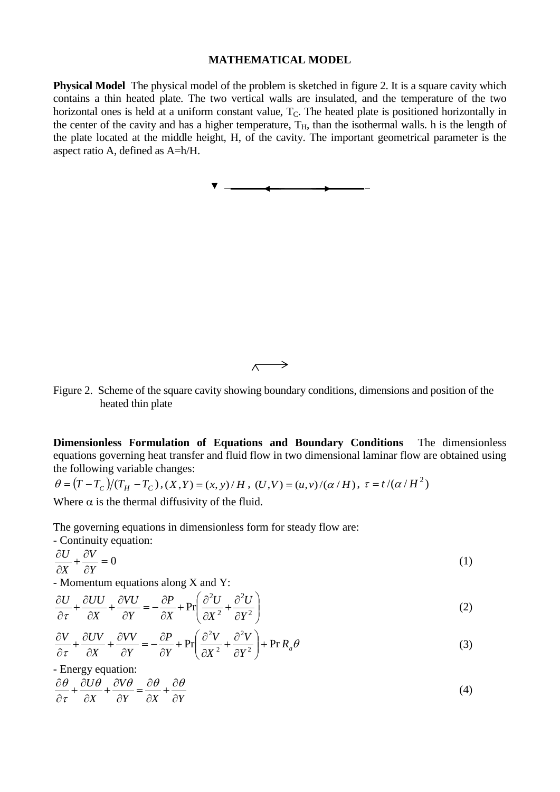#### **MATHEMATICAL MODEL**

**Physical Model** The physical model of the problem is sketched in figure 2. It is a square cavity which contains a thin heated plate. The two vertical walls are insulated, and the temperature of the two horizontal ones is held at a uniform constant value,  $T<sub>C</sub>$ . The heated plate is positioned horizontally in the center of the cavity and has a higher temperature,  $T_H$ , than the isothermal walls. h is the length of the plate located at the middle height, H, of the cavity. The important geometrical parameter is the aspect ratio A, defined as A=h/H.

> →  $\sqrt{2}$

Figure 2. Scheme of the square cavity showing boundary conditions, dimensions and position of the heated thin plate

**Dimensionless Formulation of Equations and Boundary Conditions** The dimensionless equations governing heat transfer and fluid flow in two dimensional laminar flow are obtained using the following variable changes:

 $\theta = (T - T_c)/(T_H - T_c)$ ,  $(X, Y) = (x, y)/H$ ,  $(U, V) = (u, v)/(a/H)$ ,  $\tau = t/(\alpha/H^2)$ 

Where  $\alpha$  is the thermal diffusivity of the fluid.

The governing equations in dimensionless form for steady flow are:

- Continuity equation:  
\n
$$
\frac{\partial U}{\partial X} + \frac{\partial V}{\partial Y} = 0
$$
\n(1)

- Momentum equations along X and Y:

$$
\frac{\partial U}{\partial \tau} + \frac{\partial UU}{\partial X} + \frac{\partial VU}{\partial Y} = -\frac{\partial P}{\partial X} + \Pr\left(\frac{\partial^2 U}{\partial X^2} + \frac{\partial^2 U}{\partial Y^2}\right)
$$
(2)

$$
\frac{\partial V}{\partial \tau} + \frac{\partial UV}{\partial X} + \frac{\partial VV}{\partial Y} = -\frac{\partial P}{\partial Y} + \Pr\left(\frac{\partial^2 V}{\partial X^2} + \frac{\partial^2 V}{\partial Y^2}\right) + \Pr R_a \theta
$$
\n(3)

- Energy equation: *Y*  $\partial X$   $\partial Y$ *V X U* ∂  $+\frac{\partial}{\partial}$  $+\frac{\partial V\theta}{\partial Y} = \frac{\partial}{\partial \theta}$ ∂  $+\frac{\partial}{\partial}$ ∂  $\partial\theta$   $\partial U\theta$   $\partial V\theta$   $\partial\theta$   $\partial\theta$  $\frac{\partial}{\partial x} + \frac{\partial U \theta}{\partial x} + \frac{\partial V \theta}{\partial y} = \frac{\partial \theta}{\partial x} + \frac{\partial \theta}{\partial y}$  (4)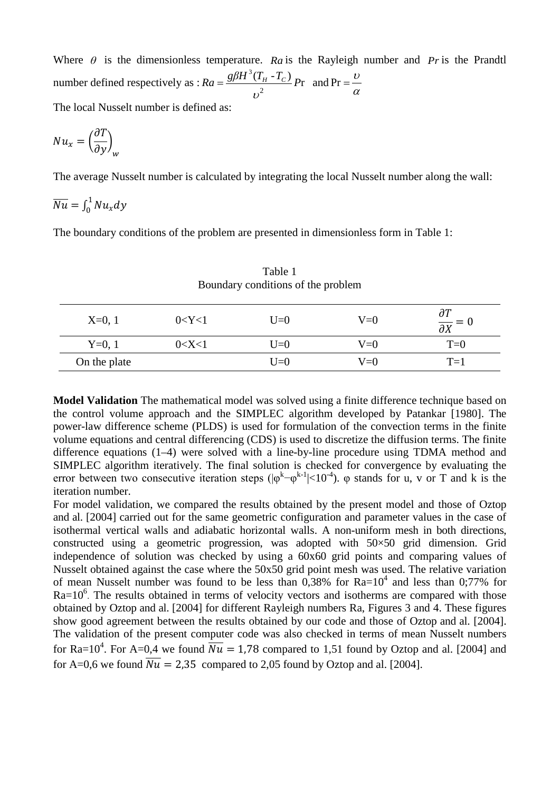Where  $\theta$  is the dimensionless temperature. *Ra* is the Rayleigh number and *Pr* is the Prandtl number defined respectively as :  $Ra = \frac{g\beta H^3 (T_H - T_C)}{r^2} Pr$  $Ra = \frac{g\beta H^3(T_H - T_C)}{2}P$ υ  $=\frac{g\beta H (I_H - I_C)}{n^2} Pr$  and  $Pr = \frac{U}{\alpha}$ The local Nusselt number is defined as:

$$
Nu_x=\left(\frac{\partial T}{\partial y}\right)_w
$$

The average Nusselt number is calculated by integrating the local Nusselt number along the wall:

$$
\overline{Nu} = \int_0^1 Nu_x dy
$$

The boundary conditions of the problem are presented in dimensionless form in Table 1:

| Boundary conditions of the problem |             |       |       |                                                   |
|------------------------------------|-------------|-------|-------|---------------------------------------------------|
| $X=0, 1$                           | 0 < Y < 1   | $U=0$ | $V=0$ | $\partial T$<br>$\frac{\partial}{\partial X} = 0$ |
| $Y=0, 1$                           | $0<\!\!X<1$ | $U=0$ | $V=0$ | $T=0$                                             |
| On the plate                       |             | $U=0$ | $V=0$ | $T=1$                                             |

Table 1 Boundary conditions of the problem

**Model Validation** The mathematical model was solved using a finite difference technique based on the control volume approach and the SIMPLEC algorithm developed by Patankar [1980]. The power-law difference scheme (PLDS) is used for formulation of the convection terms in the finite volume equations and central differencing (CDS) is used to discretize the diffusion terms. The finite difference equations (1–4) were solved with a line-by-line procedure using TDMA method and SIMPLEC algorithm iteratively. The final solution is checked for convergence by evaluating the error between two consecutive iteration steps  $(|\varphi^{k} - \varphi^{k-1}| < 10^{-4})$ .  $\varphi$  stands for u, v or T and k is the iteration number.

For model validation, we compared the results obtained by the present model and those of Oztop and al. [2004] carried out for the same geometric configuration and parameter values in the case of isothermal vertical walls and adiabatic horizontal walls. A non-uniform mesh in both directions, constructed using a geometric progression, was adopted with 50×50 grid dimension. Grid independence of solution was checked by using a 60x60 grid points and comparing values of Nusselt obtained against the case where the 50x50 grid point mesh was used. The relative variation of mean Nusselt number was found to be less than  $0,38\%$  for Ra= $10^4$  and less than 0;77% for  $Ra=10^6$ . The results obtained in terms of velocity vectors and isotherms are compared with those obtained by Oztop and al. [2004] for different Rayleigh numbers Ra, Figures 3 and 4. These figures show good agreement between the results obtained by our code and those of Oztop and al. [2004]. The validation of the present computer code was also checked in terms of mean Nusselt numbers for Ra=10<sup>4</sup>. For A=0,4 we found  $\overline{Nu} = 1.78$  compared to 1,51 found by Oztop and al. [2004] and for A=0,6 we found  $\overline{Nu}$  = 2,35 compared to 2,05 found by Oztop and al. [2004].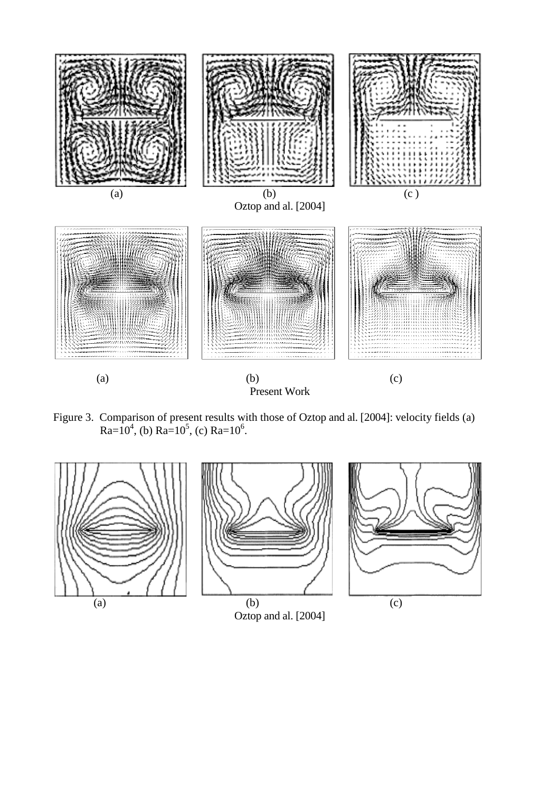

Figure 3. Comparison of present results with those of Oztop and al. [2004]: velocity fields (a) Ra=10<sup>4</sup>, (b) Ra=10<sup>5</sup>, (c) Ra=10<sup>6</sup>.

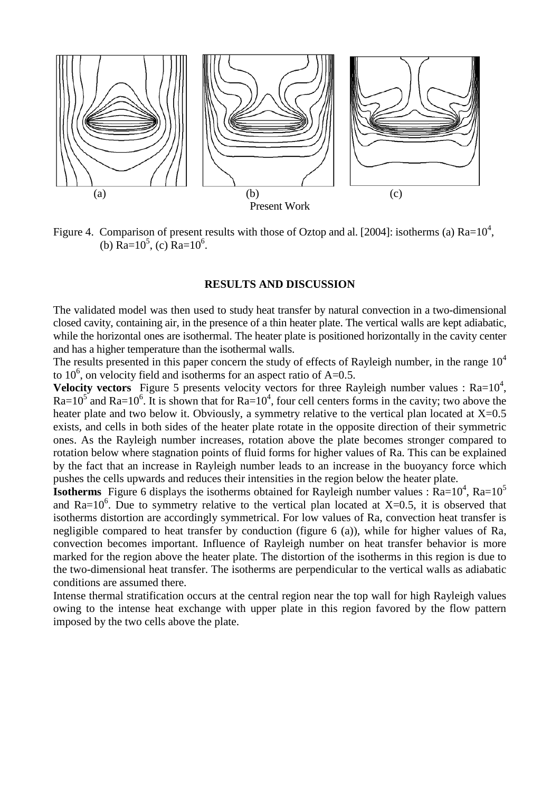

Figure 4. Comparison of present results with those of Oztop and al. [2004]: isotherms (a)  $Ra=10^4$ , (b) Ra= $10^5$ , (c) Ra= $10^6$ .

## **RESULTS AND DISCUSSION**

The validated model was then used to study heat transfer by natural convection in a two-dimensional closed cavity, containing air, in the presence of a thin heater plate. The vertical walls are kept adiabatic, while the horizontal ones are isothermal. The heater plate is positioned horizontally in the cavity center and has a higher temperature than the isothermal walls.

The results presented in this paper concern the study of effects of Rayleigh number, in the range  $10<sup>4</sup>$ to  $10^6$ , on velocity field and isotherms for an aspect ratio of A=0.5.

**Velocity vectors** Figure 5 presents velocity vectors for three Rayleigh number values :  $Ra=10^4$ ,  $Ra=10^5$  and Ra=10<sup>6</sup>. It is shown that for Ra=10<sup>4</sup>, four cell centers forms in the cavity; two above the heater plate and two below it. Obviously, a symmetry relative to the vertical plan located at  $X=0.5$ exists, and cells in both sides of the heater plate rotate in the opposite direction of their symmetric ones. As the Rayleigh number increases, rotation above the plate becomes stronger compared to rotation below where stagnation points of fluid forms for higher values of Ra. This can be explained by the fact that an increase in Rayleigh number leads to an increase in the buoyancy force which pushes the cells upwards and reduces their intensities in the region below the heater plate.

**Isotherms** Figure 6 displays the isotherms obtained for Rayleigh number values :  $Ra=10^4$ ,  $Ra=10^5$ and Ra= $10^6$ . Due to symmetry relative to the vertical plan located at X=0.5, it is observed that isotherms distortion are accordingly symmetrical. For low values of Ra, convection heat transfer is negligible compared to heat transfer by conduction (figure 6 (a)), while for higher values of Ra, convection becomes important. Influence of Rayleigh number on heat transfer behavior is more marked for the region above the heater plate. The distortion of the isotherms in this region is due to the two-dimensional heat transfer. The isotherms are perpendicular to the vertical walls as adiabatic conditions are assumed there.

Intense thermal stratification occurs at the central region near the top wall for high Rayleigh values owing to the intense heat exchange with upper plate in this region favored by the flow pattern imposed by the two cells above the plate.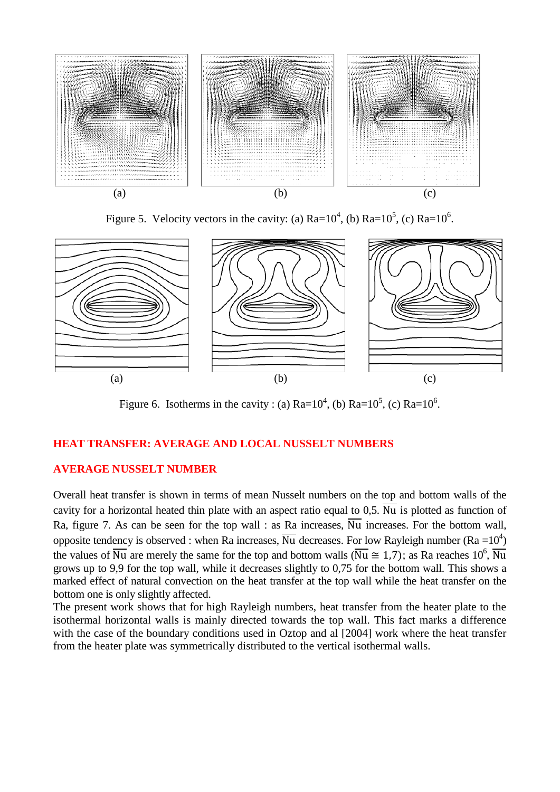

Figure 5. Velocity vectors in the cavity: (a)  $Ra=10^4$ , (b)  $Ra=10^5$ , (c)  $Ra=10^6$ .



Figure 6. Isotherms in the cavity : (a)  $Ra=10^4$ , (b)  $Ra=10^5$ , (c)  $Ra=10^6$ .

# **HEAT TRANSFER: AVERAGE AND LOCAL NUSSELT NUMBERS**

# **AVERAGE NUSSELT NUMBER**

Overall heat transfer is shown in terms of mean Nusselt numbers on the top and bottom walls of the cavity for a horizontal heated thin plate with an aspect ratio equal to 0,5.  $\overline{Nu}$  is plotted as function of Ra, figure 7. As can be seen for the top wall : as Ra increases,  $\overline{Nu}$  increases. For the bottom wall, opposite tendency is observed : when Ra increases,  $\overline{Nu}$  decreases. For low Rayleigh number (Ra =10<sup>4</sup>) the values of  $\overline{Nu}$  are merely the same for the top and bottom walls ( $\overline{Nu} \cong 1.7$ ); as Ra reaches 10<sup>6</sup>,  $\overline{Nu}$ grows up to 9,9 for the top wall, while it decreases slightly to 0,75 for the bottom wall. This shows a marked effect of natural convection on the heat transfer at the top wall while the heat transfer on the bottom one is only slightly affected.

The present work shows that for high Rayleigh numbers, heat transfer from the heater plate to the isothermal horizontal walls is mainly directed towards the top wall. This fact marks a difference with the case of the boundary conditions used in Oztop and al [2004] work where the heat transfer from the heater plate was symmetrically distributed to the vertical isothermal walls.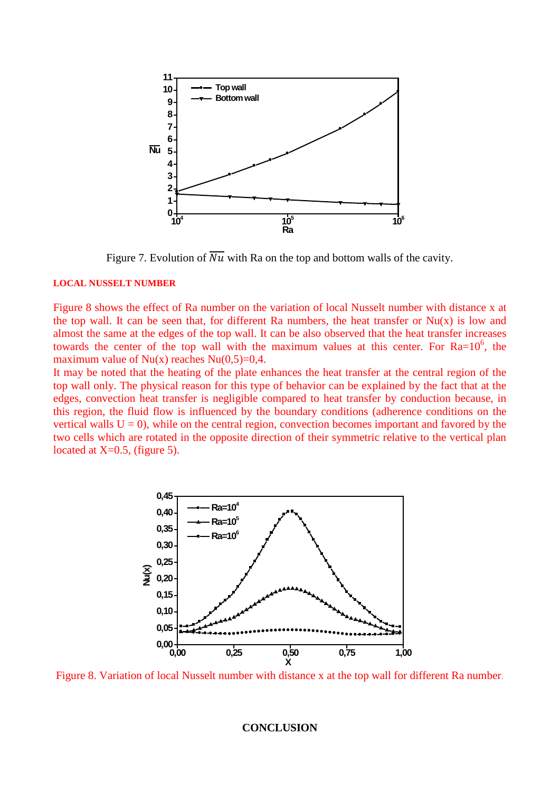

Figure 7. Evolution of  $\overline{Nu}$  with Ra on the top and bottom walls of the cavity.

## **LOCAL NUSSELT NUMBER**

Figure 8 shows the effect of Ra number on the variation of local Nusselt number with distance x at the top wall. It can be seen that, for different Ra numbers, the heat transfer or  $Nu(x)$  is low and almost the same at the edges of the top wall. It can be also observed that the heat transfer increases towards the center of the top wall with the maximum values at this center. For  $Ra=10^6$ , the maximum value of  $Nu(x)$  reaches  $Nu(0,5)=0,4$ .

It may be noted that the heating of the plate enhances the heat transfer at the central region of the top wall only. The physical reason for this type of behavior can be explained by the fact that at the edges, convection heat transfer is negligible compared to heat transfer by conduction because, in this region, the fluid flow is influenced by the boundary conditions (adherence conditions on the vertical walls  $U = 0$ ), while on the central region, convection becomes important and favored by the two cells which are rotated in the opposite direction of their symmetric relative to the vertical plan located at  $X=0.5$ , (figure 5).



Figure 8. Variation of local Nusselt number with distance x at the top wall for different Ra number.

#### **CONCLUSION**